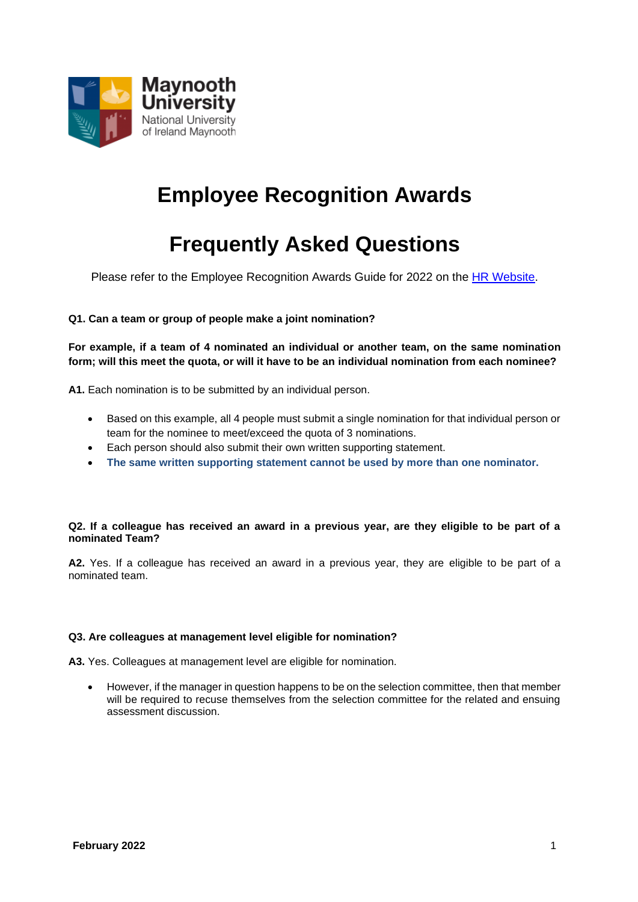

## **Employee Recognition Awards**

# **Frequently Asked Questions**

Please refer to the Employee Recognition Awards Guide for 2022 on the [HR Website.](https://www.maynoothuniversity.ie/human-resources/employee-recognition-awards)

## **Q1. Can a team or group of people make a joint nomination?**

**For example, if a team of 4 nominated an individual or another team, on the same nomination form; will this meet the quota, or will it have to be an individual nomination from each nominee?**

**A1.** Each nomination is to be submitted by an individual person.

- Based on this example, all 4 people must submit a single nomination for that individual person or team for the nominee to meet/exceed the quota of 3 nominations.
- Each person should also submit their own written supporting statement.
- **The same written supporting statement cannot be used by more than one nominator.**

#### **Q2. If a colleague has received an award in a previous year, are they eligible to be part of a nominated Team?**

**A2.** Yes. If a colleague has received an award in a previous year, they are eligible to be part of a nominated team.

## **Q3. Are colleagues at management level eligible for nomination?**

**A3.** Yes. Colleagues at management level are eligible for nomination.

• However, if the manager in question happens to be on the selection committee, then that member will be required to recuse themselves from the selection committee for the related and ensuing assessment discussion.